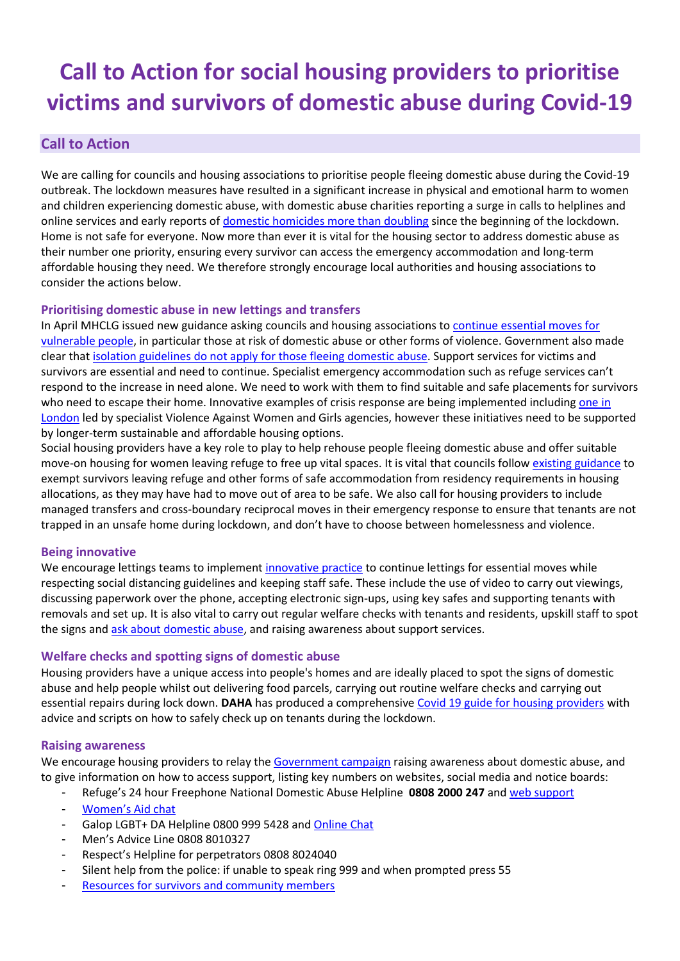# **Call to Action for social housing providers to prioritise victims and survivors of domestic abuse during Covid-19**

## **Call to Action**

We are calling for councils and housing associations to prioritise people fleeing domestic abuse during the Covid-19 outbreak. The lockdown measures have resulted in a significant increase in physical and emotional harm to women and children experiencing domestic abuse, with domestic abuse charities reporting a surge in calls to helplines and online services and early reports of [domestic homicides more than doubling](https://www.theguardian.com/society/2020/apr/15/domestic-abuse-killings-more-than-double-amid-covid-19-lockdown) since the beginning of the lockdown. Home is not safe for everyone. Now more than ever it is vital for the housing sector to address domestic abuse as their number one priority, ensuring every survivor can access the emergency accommodation and long-term affordable housing they need. We therefore strongly encourage local authorities and housing associations to consider the actions below.

#### **Prioritising domestic abuse in new lettings and transfers**

In April MHCLG issued new guidance asking councils and housing associations t[o continue essential moves for](https://www.gov.uk/guidance/coronavirus-covid-19-guidance-for-social-landlords-on-essential-moves)  [vulnerable people,](https://www.gov.uk/guidance/coronavirus-covid-19-guidance-for-social-landlords-on-essential-moves) in particular those at risk of domestic abuse or other forms of violence. Government also made clear that [isolation guidelines do not apply for those fleeing domestic abuse.](https://www.gov.uk/government/publications/coronavirus-covid-19-and-domestic-abuse/coronavirus-covid-19-support-for-victims-of-domestic-abuse) Support services for victims and survivors are essential and need to continue. Specialist emergency accommodation such as refuge services can't respond to the increase in need alone. We need to work with them to find suitable and safe placements for survivors who need to escape their home. Innovative examples of crisis response are being implemented including [one in](https://www.solacewomensaid.org/news/mayor-invests-further-ps15m-safe-accommodation-victims-domestic-abuse-during-coronavirus)  [London](https://www.solacewomensaid.org/news/mayor-invests-further-ps15m-safe-accommodation-victims-domestic-abuse-during-coronavirus) led by specialist Violence Against Women and Girls agencies, however these initiatives need to be supported by longer-term sustainable and affordable housing options.

Social housing providers have a key role to play to help rehouse people fleeing domestic abuse and offer suitable move-on housing for women leaving refuge to free up vital spaces. It is vital that councils follo[w existing guidance](https://assets.publishing.service.gov.uk/government/uploads/system/uploads/attachment_data/file/753667/Improving_access_to_social_housing_for_victims_of_domestic_abuse.pdf) to exempt survivors leaving refuge and other forms of safe accommodation from residency requirements in housing allocations, as they may have had to move out of area to be safe. We also call for housing providers to include managed transfers and cross-boundary reciprocal moves in their emergency response to ensure that tenants are not trapped in an unsafe home during lockdown, and don't have to choose between homelessness and violence.

#### **Being innovative**

We encourage lettings teams to implemen[t innovative practice](https://www.dahalliance.org.uk/media/10732/innovative-practice-for-lettings-and-transfers-in-the-social-housing-sector-during-covid.pdf) to continue lettings for essential moves while respecting social distancing guidelines and keeping staff safe. These include the use of video to carry out viewings, discussing paperwork over the phone, accepting electronic sign-ups, using key safes and supporting tenants with removals and set up. It is also vital to carry out regular welfare checks with tenants and residents, upskill staff to spot the signs and ask about [domestic abuse,](https://weareagenda.org/wp-content/uploads/2019/08/Agenda-report-Ask-and-Take-Action.pdf) and raising awareness about support services.

#### **Welfare checks and spotting signs of domestic abuse**

Housing providers have a unique access into people's homes and are ideally placed to spot the signs of domestic abuse and help people whilst out delivering food parcels, carrying out routine welfare checks and carrying out essential repairs during lock down. **DAHA** has produced a comprehensive Covid [19 guide for housing providers](https://www.dahalliance.org.uk/media/10703/daha-covid-housing-guidance-v7-230420.pdf) with advice and scripts on how to safely check up on tenants during the lockdown.

#### **Raising awareness**

We encourage housing providers to relay the [Government campaign](https://www.gov.uk/government/news/home-secretary-announces-support-for-domestic-abuse-victims) raising awareness about domestic abuse, and to give information on how to access support, listing key numbers on websites, social media and notice boards:

- Refuge's 24 hour Freephone National Domestic Abuse Helpline **0808 2000 247** and [web support](http://www.nationaldahelpline.org.uk/)
- [Women's Aid chat](https://chat.womensaid.org.uk/)
- Galop LGBT+ DA Helpline 0800 999 5428 and [Online Chat](http://www.galop.org.uk/domesticabuse/)
- Men's Advice Line 0808 8010327
- Respect's Helpline for perpetrators 0808 8024040
- Silent help from the police: if unable to speak ring 999 and when prompted press 55
- [Resources for survivors and community members](https://www.womensaid.org.uk/covid-19-coronavirus-safety-and-support-resources/)